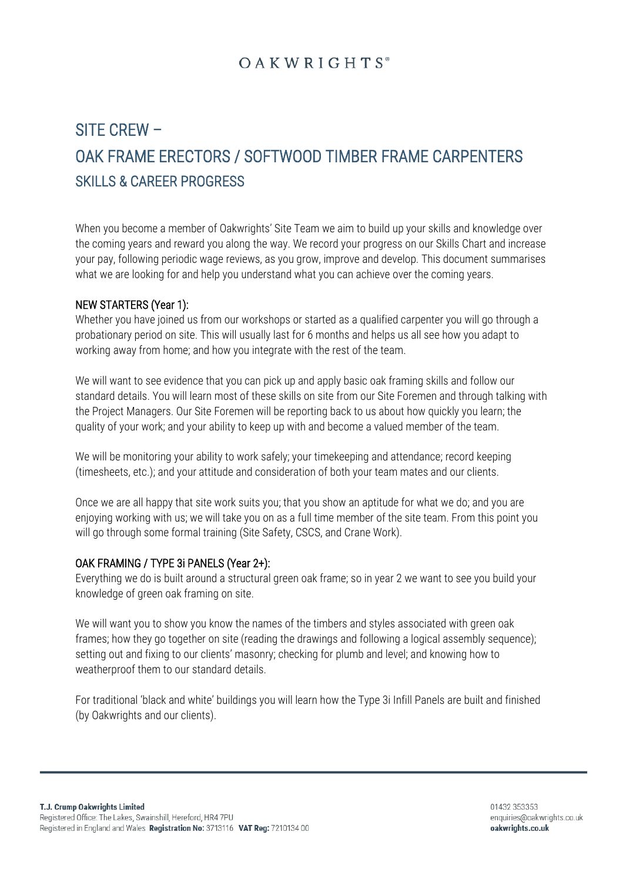# **OAKWRIGHTS**<sup>®</sup>

# SITE CREW – OAK FRAME ERECTORS / SOFTWOOD TIMBER FRAME CARPENTERS SKILLS & CAREER PROGRESS

When you become a member of Oakwrights' Site Team we aim to build up your skills and knowledge over the coming years and reward you along the way. We record your progress on our Skills Chart and increase your pay, following periodic wage reviews, as you grow, improve and develop. This document summarises what we are looking for and help you understand what you can achieve over the coming years.

### NEW STARTERS (Year 1):

Whether you have joined us from our workshops or started as a qualified carpenter you will go through a probationary period on site. This will usually last for 6 months and helps us all see how you adapt to working away from home; and how you integrate with the rest of the team.

We will want to see evidence that you can pick up and apply basic oak framing skills and follow our standard details. You will learn most of these skills on site from our Site Foremen and through talking with the Project Managers. Our Site Foremen will be reporting back to us about how quickly you learn; the quality of your work; and your ability to keep up with and become a valued member of the team.

We will be monitoring your ability to work safely; your timekeeping and attendance; record keeping (timesheets, etc.); and your attitude and consideration of both your team mates and our clients.

Once we are all happy that site work suits you; that you show an aptitude for what we do; and you are enjoying working with us; we will take you on as a full time member of the site team. From this point you will go through some formal training (Site Safety, CSCS, and Crane Work).

#### OAK FRAMING / TYPE 3i PANELS (Year 2+):

Everything we do is built around a structural green oak frame; so in year 2 we want to see you build your knowledge of green oak framing on site.

We will want you to show you know the names of the timbers and styles associated with green oak frames; how they go together on site (reading the drawings and following a logical assembly sequence); setting out and fixing to our clients' masonry; checking for plumb and level; and knowing how to weatherproof them to our standard details.

For traditional 'black and white' buildings you will learn how the Type 3i Infill Panels are built and finished (by Oakwrights and our clients).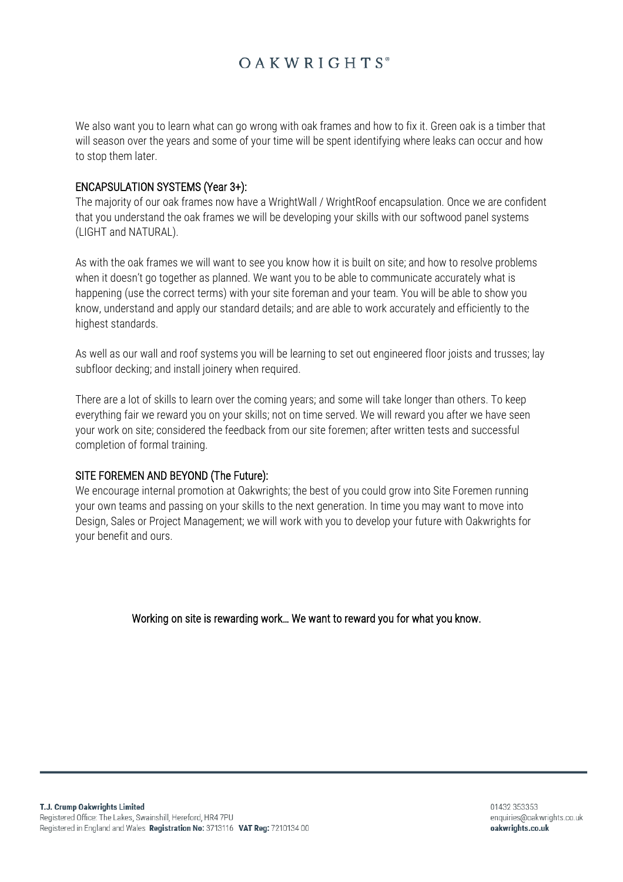# **OAKWRIGHTS**<sup>®</sup>

We also want you to learn what can go wrong with oak frames and how to fix it. Green oak is a timber that will season over the years and some of your time will be spent identifying where leaks can occur and how to stop them later.

#### ENCAPSULATION SYSTEMS (Year 3+):

The majority of our oak frames now have a WrightWall / WrightRoof encapsulation. Once we are confident that you understand the oak frames we will be developing your skills with our softwood panel systems (LIGHT and NATURAL).

As with the oak frames we will want to see you know how it is built on site; and how to resolve problems when it doesn't go together as planned. We want you to be able to communicate accurately what is happening (use the correct terms) with your site foreman and your team. You will be able to show you know, understand and apply our standard details; and are able to work accurately and efficiently to the highest standards.

As well as our wall and roof systems you will be learning to set out engineered floor joists and trusses; lay subfloor decking; and install joinery when required.

There are a lot of skills to learn over the coming years; and some will take longer than others. To keep everything fair we reward you on your skills; not on time served. We will reward you after we have seen your work on site; considered the feedback from our site foremen; after written tests and successful completion of formal training.

#### SITE FOREMEN AND BEYOND (The Future):

We encourage internal promotion at Oakwrights; the best of you could grow into Site Foremen running your own teams and passing on your skills to the next generation. In time you may want to move into Design, Sales or Project Management; we will work with you to develop your future with Oakwrights for your benefit and ours.

Working on site is rewarding work… We want to reward you for what you know.

01432 353353 enquiries@oakwrights.co.uk oakwrights.co.uk